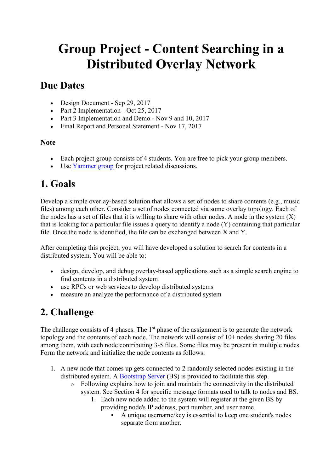# **Group Project - Content Searching in a Distributed Overlay Network**

### **Due Dates**

- Design Document Sep 29, 2017
- Part 2 Implementation Oct 25, 2017
- Part 3 Implementation and Demo Nov 9 and 10, 2017
- Final Report and Personal Statement Nov 17, 2017

### **Note**

- Each project group consists of 4 students. You are free to pick your group members.
- Use [Yammer group](https://online.mrt.ac.lk/mod/url/view.php?id=44393) for project related discussions.

# **1. Goals**

Develop a simple overlay-based solution that allows a set of nodes to share contents (e.g., music files) among each other. Consider a set of nodes connected via some overlay topology. Each of the nodes has a set of files that it is willing to share with other nodes. A node in the system  $(X)$ that is looking for a particular file issues a query to identify a node (Y) containing that particular file. Once the node is identified, the file can be exchanged between X and Y.

After completing this project, you will have developed a solution to search for contents in a distributed system. You will be able to:

- design, develop, and debug overlay-based applications such as a simple search engine to find contents in a distributed system
- use RPCs or web services to develop distributed systems
- measure an analyze the performance of a distributed system

# **2. Challenge**

The challenge consists of 4 phases. The  $1<sup>st</sup>$  phase of the assignment is to generate the network topology and the contents of each node. The network will consist of 10+ nodes sharing 20 files among them, with each node contributing 3-5 files. Some files may be present in multiple nodes. Form the network and initialize the node contents as follows:

- 1. A new node that comes up gets connected to 2 randomly selected nodes existing in the distributed system. A [Bootstrap Server](https://online.mrt.ac.lk/mod/resource/view.php?id=46370) (BS) is provided to facilitate this step.
	- o Following explains how to join and maintain the connectivity in the distributed system. See Section 4 for specific message formats used to talk to nodes and BS.
		- 1. Each new node added to the system will register at the given BS by providing node's IP address, port number, and user name.
			- A unique username/key is essential to keep one student's nodes separate from another.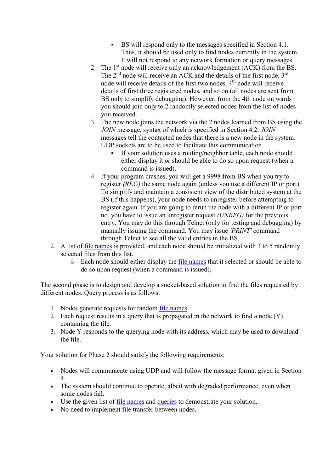- BS will respond only to the messages specified in Section 4.1. Thus, it should be used only to find nodes currently in the system. It will not respond to any network formation or query messages.
- 2. The 1<sup>st</sup> node will receive only an acknowledgement (ACK) from the BS. The 2<sup>nd</sup> node will receive an ACK and the details of the first node. 3<sup>rd</sup> node will receive details of the first two nodes. 4<sup>th</sup> node will receive details of first three registered nodes, and so on (all nodes are sent from BS only to simplify debugging). However, from the 4th node on wards you should join only to 2 randomly selected nodes from the list of nodes you received.
- 3. The new node joins the network via the 2 nodes learned from BS using the *JOIN* message, syntax of which is specified in Section 4.2. *JOIN* messages tell the contacted nodes that there is a new node in the system. UDP sockets are to be used to facilitate this communication.
	- If your solution uses a routing/neighbor table, each node should either display it or should be able to do so upon request (when a command is issued).
- 4. If your program crashes, you will get a 9998 from BS when you try to register *(REG)* the same node again (unless you use a different IP or port). To simplify and maintain a consistent view of the distributed system at the BS (if this happens), your node needs to unregister before attempting to register again. If you are going to rerun the node with a different IP or port no, you have to issue an unregister request *(UNREG)* for the previous entry. You may do this through Telnet (only for testing and debugging) by manually issuing the command. You may issue *'PRINT'* command through Telnet to see all the valid entries in the BS.
- 2. A list of [file names](https://online.mrt.ac.lk/mod/resource/view.php?id=46371) is provided, and each node should be initialized with 3 to 5 randomly selected files from this list.
	- $\circ$  Each node should either display the [file names](https://online.mrt.ac.lk/mod/resource/view.php?id=46371) that it selected or should be able to do so upon request (when a command is issued).

The second phase is to design and develop a socket-based solution to find the files requested by different nodes. Query process is as follows:

- 1. Nodes generate requests for random [file names.](https://online.mrt.ac.lk/mod/resource/view.php?id=46371)
- 2. Each request results in a query that is propagated in the network to find a node (Y) containing the file.
- 3. Node Y responds to the querying node with its address, which may be used to download the file.

Your solution for Phase 2 should satisfy the following requirements:

- Nodes will communicate using UDP and will follow the message format given in Section 4.
- The system should continue to operate, albeit with degraded performance, even when some nodes fail.
- Use the given list of [file names](https://online.mrt.ac.lk/mod/resource/view.php?id=46371) and [queries](https://online.mrt.ac.lk/mod/resource/view.php?id=46372) to demonstrate your solution.
- No need to implement file transfer between nodes.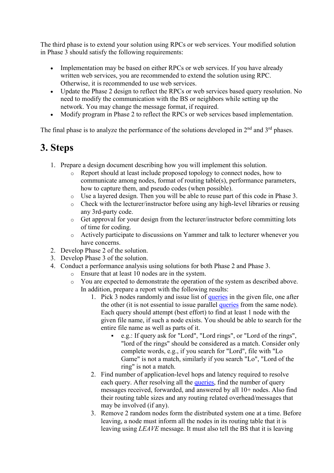The third phase is to extend your solution using RPCs or web services. Your modified solution in Phase 3 should satisfy the following requirements:

- Implementation may be based on either RPCs or web services. If you have already written web services, you are recommended to extend the solution using RPC. Otherwise, it is recommended to use web services.
- Update the Phase 2 design to reflect the RPCs or web services based query resolution. No need to modify the communication with the BS or neighbors while setting up the network. You may change the message format, if required.
- Modify program in Phase 2 to reflect the RPCs or web services based implementation.

The final phase is to analyze the performance of the solutions developed in  $2<sup>nd</sup>$  and  $3<sup>rd</sup>$  phases.

# **3. Steps**

- 1. Prepare a design document describing how you will implement this solution.
	- o Report should at least include proposed topology to connect nodes, how to communicate among nodes, format of routing table(s), performance parameters, how to capture them, and pseudo codes (when possible).
	- o Use a layered design. Then you will be able to reuse part of this code in Phase 3.
	- o Check with the lecturer/instructor before using any high-level libraries or reusing any 3rd-party code.
	- o Get approval for your design from the lecturer/instructor before committing lots of time for coding.
	- o Actively participate to discussions on Yammer and talk to lecturer whenever you have concerns.
- 2. Develop Phase 2 of the solution.
- 3. Develop Phase 3 of the solution.
- 4. Conduct a performance analysis using solutions for both Phase 2 and Phase 3.
	- o Ensure that at least 10 nodes are in the system.
	- o You are expected to demonstrate the operation of the system as described above. In addition, prepare a report with the following results:
		- 1. Pick 3 nodes randomly and issue list of [queries](https://online.mrt.ac.lk/mod/resource/view.php?id=46372) in the given file, one after the other (it is not essential to issue parallel [queries](https://online.mrt.ac.lk/mod/resource/view.php?id=46372) from the same node). Each query should attempt (best effort) to find at least 1 node with the given file name, if such a node exists. You should be able to search for the entire file name as well as parts of it.
			- e.g.: If query ask for "Lord", "Lord rings", or "Lord of the rings", "lord of the rings" should be considered as a match. Consider only complete words, e.g., if you search for "Lord", file with "Lo Game" is not a match, similarly if you search "Lo", "Lord of the ring" is not a match.
		- 2. Find number of application-level hops and latency required to resolve each query. After resolving all the [queries,](https://online.mrt.ac.lk/mod/resource/view.php?id=46372) find the number of query messages received, forwarded, and answered by all 10+ nodes. Also find their routing table sizes and any routing related overhead/messages that may be involved (if any).
		- 3. Remove 2 random nodes form the distributed system one at a time. Before leaving, a node must inform all the nodes in its routing table that it is leaving using *LEAVE* message. It must also tell the BS that it is leaving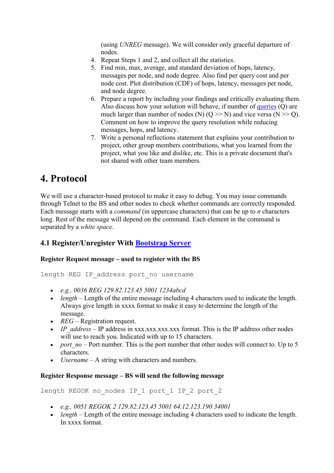(using *UNREG* message). We will consider only graceful departure of nodes.

- 4. Repeat Steps 1 and 2, and collect all the statistics.
- 5. Find min, max, average, and standard deviation of hops, latency, messages per node, and node degree. Also find per query cost and per node cost. Plot distribution (CDF) of hops, latency, messages per node, and node degree.
- 6. Prepare a report by including your findings and critically evaluating them. Also discuss how your solution will behave, if number of [queries](https://online.mrt.ac.lk/mod/resource/view.php?id=46372) (Q) are much larger than number of nodes (N)  $(Q \gg N)$  and vice versa (N  $\gg Q$ ). Comment on how to improve the query resolution while reducing messages, hops, and latency.
- 7. Write a personal reflections statement that explains your contribution to project, other group members contributions, what you learned from the project, what you like and dislike, etc. This is a private document that's not shared with other team members.

# **4. Protocol**

We will use a character-based protocol to make it easy to debug. You may issue commands through Telnet to the BS and other nodes to check whether commands are correctly responded. Each message starts with a *command* (in uppercase characters) that can be up to *n* characters long. Rest of the message will depend on the command. Each element in the command is separated by a *white space*.

### **4.1 Register/Unregister With [Bootstrap Server](https://online.mrt.ac.lk/mod/resource/view.php?id=46370)**

### **Register Request message – used to register with the BS**

length REG IP address port no username

- *e.g., 0036 REG 129.82.123.45 5001 1234abcd*
- *length* Length of the entire message including 4 characters used to indicate the length. Always give length in xxxx format to make it easy to determine the length of the message.
- *REG* Registration request.
- *IP* address IP address in xxx.xxx.xxx.xxx format. This is the IP address other nodes will use to reach you. Indicated with up to 15 characters.
- *port*  $no$  Port number. This is the port number that other nodes will connect to. Up to 5 characters.
- *Username* A string with characters and numbers.

#### **Register Response message – BS will send the following message**

length REGOK no nodes IP 1 port 1 IP 2 port 2

- *e.g., 0051 REGOK 2 129.82.123.45 5001 64.12.123.190 34001*
- *length* Length of the entire message including 4 characters used to indicate the length. In xxxx format.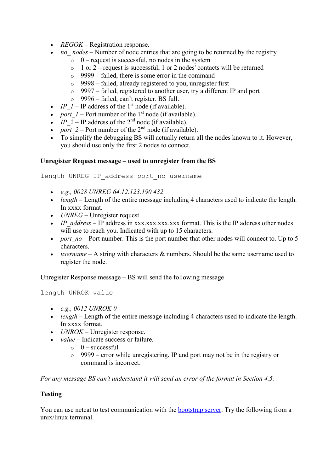- *REGOK* Registration response.
- *no\_ nodes* Number of node entries that are going to be returned by the registry
	- $\circ$  0 request is successful, no nodes in the system
	- $\circ$  1 or 2 request is successful, 1 or 2 nodes' contacts will be returned
	- o 9999 failed, there is some error in the command
	- o 9998 failed, already registered to you, unregister first
	- o 9997 failed, registered to another user, try a different IP and port
	- o 9996 failed, can't register. BS full.
- *IP*  $I$  IP address of the 1<sup>st</sup> node (if available).
- *port*  $1$  Port number of the 1<sup>st</sup> node (if available).
- *IP*  $2$  IP address of the 2<sup>nd</sup> node (if available).
- *port*  $2$  Port number of the  $2<sup>nd</sup>$  node (if available).
- To simplify the debugging BS will actually return all the nodes known to it. However, you should use only the first 2 nodes to connect.

#### **Unregister Request message – used to unregister from the BS**

length UNREG IP address port no username

- *e.g., 0028 UNREG 64.12.123.190 432*
- *length* Length of the entire message including 4 characters used to indicate the length. In xxxx format.
- *UNREG* Unregister request.
- *IP\_address* IP\_address in xxx.xxx.xxx.xxx format. This is the IP address other nodes will use to reach you. Indicated with up to 15 characters.
- *port*  $no$  Port number. This is the port number that other nodes will connect to. Up to 5 characters.
- *username* A string with characters & numbers. Should be the same username used to register the node.

Unregister Response message – BS will send the following message

length UNROK value

- *e.g., 0012 UNROK 0*
- *length* Length of the entire message including 4 characters used to indicate the length. In xxxx format.
- *UNROK* Unregister response.
- *value* Indicate success or failure.
	- $\circ$  0 successful
	- o 9999 error while unregistering. IP and port may not be in the registry or command is incorrect.

*For any message BS can't understand it will send an error of the format in Section 4.5.*

#### **Testing**

You can use netcat to test communication with the [bootstrap server.](https://online.mrt.ac.lk/mod/resource/view.php?id=46370) Try the following from a unix/linux terminal.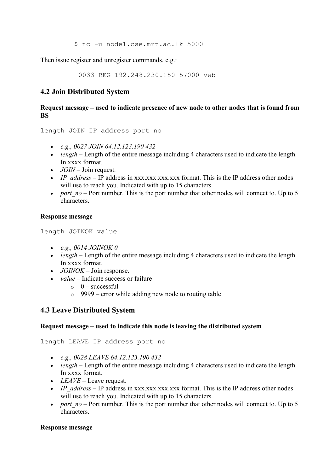\$ nc -u node1.cse.mrt.ac.lk 5000

Then issue register and unregister commands. e.g.:

0033 REG 192.248.230.150 57000 vwb

### **4.2 Join Distributed System**

#### **Request message – used to indicate presence of new node to other nodes that is found from BS**

length JOIN IP address port no

- *e.g., 0027 JOIN 64.12.123.190 432*
- *length* Length of the entire message including 4 characters used to indicate the length. In xxxx format.
- *JOIN* Join request.
- *IP\_address* IP\_address in xxx.xxx.xxx.xxx.xxx format. This is the IP address other nodes will use to reach you. Indicated with up to 15 characters.
- *port*  $no$  Port number. This is the port number that other nodes will connect to. Up to 5 characters.

#### **Response message**

length JOINOK value

- *e.g., 0014 JOINOK 0*
- *length* Length of the entire message including 4 characters used to indicate the length. In xxxx format.
- *JOINOK* Join response.
- *value* Indicate success or failure
	- $\circ$  0 successful
	- $\circ$  9999 error while adding new node to routing table

#### **4.3 Leave Distributed System**

#### **Request message – used to indicate this node is leaving the distributed system**

length LEAVE IP address port no

- *e.g., 0028 LEAVE 64.12.123.190 432*
- *length* Length of the entire message including 4 characters used to indicate the length. In xxxx format.
- *LEAVE* Leave request.
- *IP\_address* IP\_address in xxx.xxx.xxx.xxx format. This is the IP address other nodes will use to reach you. Indicated with up to 15 characters.
- *port*  $no$  Port number. This is the port number that other nodes will connect to. Up to 5 characters.

#### **Response message**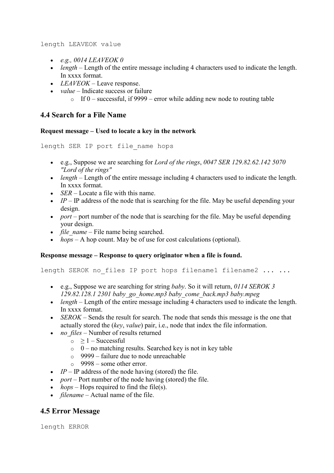length LEAVEOK value

- *e.g., 0014 LEAVEOK 0*
- *length* Length of the entire message including 4 characters used to indicate the length. In xxxx format.
- *LEAVEOK* Leave response.
- *value* Indicate success or failure
	- $\circ$  If 0 successful, if 9999 error while adding new node to routing table

#### **4.4 Search for a File Name**

#### **Request message – Used to locate a key in the network**

```
length SER IP port file_name hops
```
- e.g., Suppose we are searching for *Lord of the rings*, *0047 SER 129.82.62.142 5070 "Lord of the rings"*
- *length* Length of the entire message including 4 characters used to indicate the length. In xxxx format.
- *SER* Locate a file with this name.
- $\bullet$  *IP* IP address of the node that is searching for the file. May be useful depending your design.
- *port* port number of the node that is searching for the file. May be useful depending your design.
- *file name* File name being searched.
- *hops* A hop count. May be of use for cost calculations (optional).

#### **Response message – Response to query originator when a file is found.**

length SEROK no files IP port hops filename1 filename2 ... ...

- e.g., Suppose we are searching for string *baby*. So it will return, *0114 SEROK 3 129.82.128.1 2301 baby\_go\_home.mp3 baby\_come\_back.mp3 baby.mpeg*
- *length* Length of the entire message including 4 characters used to indicate the length. In xxxx format.
- *SEROK* Sends the result for search. The node that sends this message is the one that actually stored the (*key*, *value*) pair, i.e., node that index the file information.
- *no\_files* Number of results returned
	- $\circ \geq 1$  Successful
	- $\circ$  0 no matching results. Searched key is not in key table
	- 9999 failure due to node unreachable
	- $\degree$  9998 some other error.
- $IP IP$  address of the node having (stored) the file.
- *port* Port number of the node having (stored) the file.
- *hops* Hops required to find the file(s).
- *filename* Actual name of the file.

### **4.5 Error Message**

length ERROR